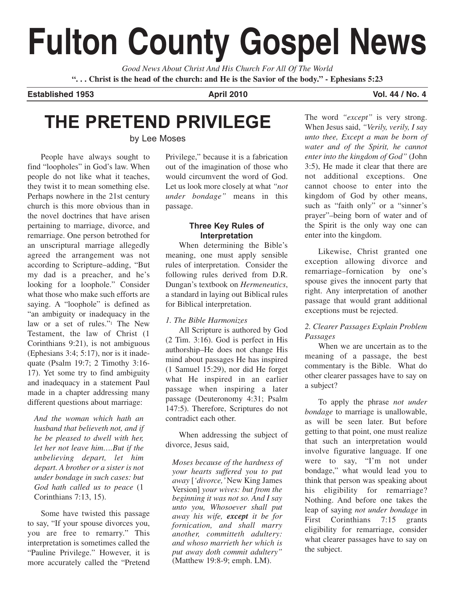# **Fulton County Gospel News**

*Good News About Christ And His Church For All Of The World* **". . . Christ is the head of the church: and He is the Savior of the body." - Ephesians 5:23**

**Established 1953 April 2010 Restablished 1953 Vol. 44 / No. 4** 

## **THE PRETEND PRIVILEGE**

by Lee Moses

People have always sought to find "loopholes" in God's law. When people do not like what it teaches, they twist it to mean something else. Perhaps nowhere in the 21st century church is this more obvious than in the novel doctrines that have arisen pertaining to marriage, divorce, and remarriage. One person betrothed for an unscriptural marriage allegedly agreed the arrangement was not according to Scripture–adding, "But my dad is a preacher, and he's looking for a loophole." Consider what those who make such efforts are saying. A "loophole" is defined as "an ambiguity or inadequacy in the law or a set of rules."<sup>1</sup> The New Testament, the law of Christ (1 Corinthians 9:21), is not ambiguous (Ephesians 3:4; 5:17), nor is it inadequate (Psalm 19:7; 2 Timothy 3:16- 17). Yet some try to find ambiguity and inadequacy in a statement Paul made in a chapter addressing many different questions about marriage:

*And the woman which hath an husband that believeth not, and if he be pleased to dwell with her, let her not leave him….But if the unbelieving depart, let him depart. A brother or a sister is not under bondage in such cases: but God hath called us to peace* (1 Corinthians 7:13, 15).

Some have twisted this passage to say, "If your spouse divorces you, you are free to remarry." This interpretation is sometimes called the "Pauline Privilege." However, it is more accurately called the "Pretend

Privilege," because it is a fabrication out of the imagination of those who would circumvent the word of God. Let us look more closely at what *"not under bondage"* means in this passage.

#### **Three Key Rules of Interpretation**

When determining the Bible's meaning, one must apply sensible rules of interpretation. Consider the following rules derived from D.R. Dungan's textbook on *Hermeneutics*, a standard in laying out Biblical rules for Biblical interpretation.

#### *1. The Bible Harmonizes*

All Scripture is authored by God (2 Tim. 3:16). God is perfect in His authorship–He does not change His mind about passages He has inspired (1 Samuel 15:29), nor did He forget what He inspired in an earlier passage when inspiring a later passage (Deuteronomy 4:31; Psalm 147:5). Therefore, Scriptures do not contradict each other.

When addressing the subject of divorce, Jesus said,

*Moses because of the hardness of your hearts suffered you to put away* [*'divorce,'*New King James Version] *your wives: but from the beginning it was not so. And I say unto you, Whosoever shall put away his wife, except it be for fornication, and shall marry another, committeth adultery: and whoso marrieth her which is put away doth commit adultery"* (Matthew 19:8-9; emph. LM).

The word *"except"* is very strong. When Jesus said, *"Verily, verily, I say unto thee, Except a man be born of water and of the Spirit, he cannot enter into the kingdom of God"* (John 3:5), He made it clear that there are not additional exceptions. One cannot choose to enter into the kingdom of God by other means, such as "faith only" or a "sinner's prayer"–being born of water and of the Spirit is the only way one can enter into the kingdom.

Likewise, Christ granted one exception allowing divorce and remarriage–fornication by one's spouse gives the innocent party that right. Any interpretation of another passage that would grant additional exceptions must be rejected.

#### *2. Clearer Passages Explain Problem Passages*

When we are uncertain as to the meaning of a passage, the best commentary is the Bible. What do other clearer passages have to say on a subject?

To apply the phrase *not under bondage* to marriage is unallowable, as will be seen later. But before getting to that point, one must realize that such an interpretation would involve figurative language. If one were to say, "I'm not under bondage," what would lead you to think that person was speaking about his eligibility for remarriage? Nothing. And before one takes the leap of saying *not under bondage* in First Corinthians 7:15 grants eligibility for remarriage, consider what clearer passages have to say on the subject.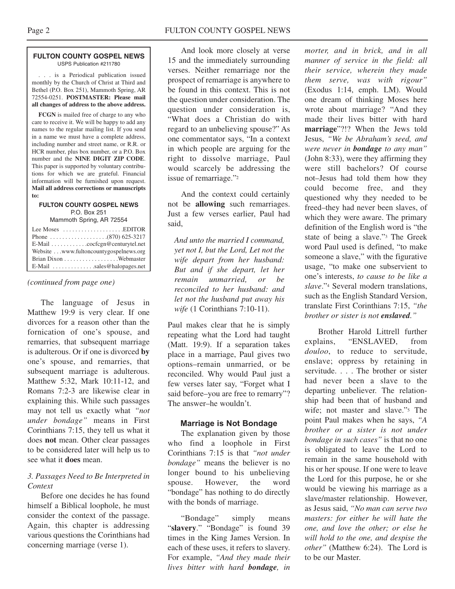#### **FULTON COUNTY GOSPEL NEWS** USPS Publication #211780

. . . is a Periodical publication issued monthly by the Church of Christ at Third and Bethel (P.O. Box 251), Mammoth Spring, AR 72554-0251. **POSTMASTER: Please mail all changes of address to the above address.**

**FCGN** is mailed free of charge to any who care to receive it. We will be happy to add any names to the regular mailing list. If you send in a name we must have a complete address, including number and street name, or R.R. or HCR number, plus box number, or a P.O. Box number and the **NINE DIGIT ZIP CODE**. This paper is supported by voluntary contributions for which we are grateful. Financial information will be furnished upon request. **Mail all address corrections or manuscripts to:**

#### **FULTON COUNTY GOSPEL NEWS** P.O. Box 251

Mammoth Spring, AR 72554

| Lee Moses $\dots \dots \dots \dots \dots$ . EDITOR              |  |
|-----------------------------------------------------------------|--|
|                                                                 |  |
| $E$ -Mail $\ldots \ldots \ldots$ . cocfcgn@centurytel.net       |  |
| Website www.fultoncountygospelnews.org                          |  |
|                                                                 |  |
| $E$ -Mail $\ldots$ , $\ldots$ , $\ldots$ , sales @halopages.net |  |

#### *(continued from page one)*

The language of Jesus in Matthew 19:9 is very clear. If one divorces for a reason other than the fornication of one's spouse, and remarries, that subsequent marriage is adulterous. Or if one is divorced **by** one's spouse, and remarries, that subsequent marriage is adulterous. Matthew 5:32, Mark 10:11-12, and Romans 7:2-3 are likewise clear in explaining this. While such passages may not tell us exactly what *"not under bondage"* means in First Corinthians 7:15, they tell us what it does **not** mean. Other clear passages to be considered later will help us to see what it **does** mean.

#### *3. Passages Need to Be Interpreted in Context*

Before one decides he has found himself a Biblical loophole, he must consider the context of the passage. Again, this chapter is addressing various questions the Corinthians had concerning marriage (verse 1).

And look more closely at verse 15 and the immediately surrounding verses. Neither remarriage nor the prospect of remarriage is anywhere to be found in this context. This is not the question under consideration. The question under consideration is, "What does a Christian do with regard to an unbelieving spouse?" As one commentator says, "In a context in which people are arguing for the right to dissolve marriage, Paul would scarcely be addressing the issue of remarriage."2

And the context could certainly not be **allowing** such remarriages. Just a few verses earlier, Paul had said,

*And unto the married I command, yet not I, but the Lord, Let not the wife depart from her husband: But and if she depart, let her remain unmarried, or be reconciled to her husband: and let not the husband put away his wife* (1 Corinthians 7:10-11).

Paul makes clear that he is simply repeating what the Lord had taught (Matt. 19:9). If a separation takes place in a marriage, Paul gives two options–remain unmarried, or be reconciled. Why would Paul just a few verses later say, "Forget what I said before–you are free to remarry"? The answer–he wouldn't.

#### **Marriage is Not Bondage**

The explanation given by those who find a loophole in First Corinthians 7:15 is that *"not under bondage"* means the believer is no longer bound to his unbelieving spouse. However, the word "bondage" has nothing to do directly with the bonds of marriage.

"Bondage" simply means "slavery." "Bondage" is found 39 times in the King James Version. In each of these uses, it refers to slavery. For example, *"And they made their lives bitter with hard bondage, in*

*morter, and in brick, and in all manner of service in the field: all their service, wherein they made them serve, was with rigour"* (Exodus 1:14, emph. LM). Would one dream of thinking Moses here wrote about marriage? "And they made their lives bitter with hard **marriage**"?!? When the Jews told Jesus, *"We be Abraham's seed, and were never in bondage to any man"* (John 8:33), were they affirming they were still bachelors? Of course not–Jesus had told them how they could become free, and they questioned why they needed to be freed–they had never been slaves, of which they were aware. The primary definition of the English word is "the state of being a slave."3 The Greek word Paul used is defined, "to make someone a slave," with the figurative usage, "to make one subservient to one's interests, *to cause to be like a slave*."4 Several modern translations, such as the English Standard Version, translate First Corinthians 7:15, *"the brother or sister is not enslaved."*

Brother Harold Littrell further explains, "ENSLAVED, from *douloo*, to reduce to servitude, enslave; oppress by retaining in servitude. . . . The brother or sister had never been a slave to the departing unbeliever. The relationship had been that of husband and wife; not master and slave."<sup>5</sup> The point Paul makes when he says, *"A brother or a sister is not under bondage in such cases"* is that no one is obligated to leave the Lord to remain in the same household with his or her spouse. If one were to leave the Lord for this purpose, he or she would be viewing his marriage as a slave/master relationship. However, as Jesus said, *"No man can serve two masters: for either he will hate the one, and love the other; or else he will hold to the one, and despise the other"* (Matthew 6:24). The Lord is to be our Master.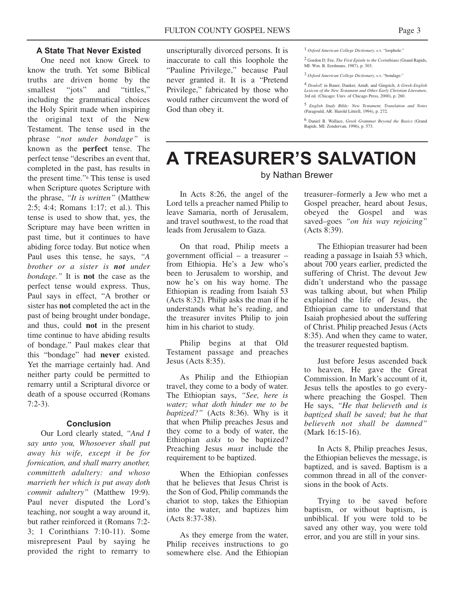One need not know Greek to know the truth. Yet some Biblical truths are driven home by the smallest "jots" and "tittles," including the grammatical choices the Holy Spirit made when inspiring the original text of the New Testament. The tense used in the phrase *"not under bondage"* is known as the **perfect** tense. The perfect tense "describes an event that, completed in the past, has results in the present time."6 This tense is used when Scripture quotes Scripture with the phrase, *"It is written"* (Matthew 2:5; 4:4; Romans 1:17; et al.). This tense is used to show that, yes, the Scripture may have been written in past time, but it continues to have abiding force today. But notice when Paul uses this tense, he says, *"A brother or a sister is not under bondage."* It is **not** the case as the perfect tense would express. Thus, Paul says in effect, "A brother or sister has **not** completed the act in the past of being brought under bondage, and thus, could **not** in the present time continue to have abiding results of bondage." Paul makes clear that this "bondage" had **never** existed. Yet the marriage certainly had. And neither party could be permitted to remarry until a Scriptural divorce or death of a spouse occurred (Romans 7:2-3).

#### **Conclusion**

Our Lord clearly stated, *"And I say unto you, Whosoever shall put away his wife, except it be for fornication, and shall marry another, committeth adultery: and whoso marrieth her which is put away doth commit adultery"* (Matthew 19:9). Paul never disputed the Lord's teaching, nor sought a way around it, but rather reinforced it (Romans 7:2- 3; 1 Corinthians 7:10-11). Some misrepresent Paul by saying he provided the right to remarry to unscripturally divorced persons. It is inaccurate to call this loophole the "Pauline Privilege," because Paul never granted it. It is a "Pretend Privilege," fabricated by those who would rather circumvent the word of God than obey it.

2 Gordon D. Fee, *The First Epistle to the Corinthians* (Grand Rapids, MI: Wm. B. Eerdmans, 1987), p. 303.

3 *Oxford American College Dictionary,* s.v. "bondage."

4 *Douloo,* in Bauer, Danker, Arndt, and Gingrich, *A Greek-English Lexicon of the New Testament and Other Early Christian Literature*, 3rd ed. (Chicago: Univ. of Chicago Press, 2000), p. 260.

5 *English Study Bible: New Testament, Translation and Notes* (Paragould, AR: Harold Littrell, 1994), p. 272.

6 Daniel B. Wallace, *Greek Grammar Beyond the Basics* (Grand Rapids, MI: Zondervan, 1996), p. 573.

## **A TREASURER'S SALVATION** by Nathan Brewer

In Acts 8:26, the angel of the Lord tells a preacher named Philip to leave Samaria, north of Jerusalem, and travel southwest, to the road that leads from Jerusalem to Gaza.

On that road, Philip meets a government official – a treasurer – from Ethiopia. He's a Jew who's been to Jerusalem to worship, and now he's on his way home. The Ethiopian is reading from Isaiah 53 (Acts 8:32). Philip asks the man if he understands what he's reading, and the treasurer invites Philip to join him in his chariot to study.

Philip begins at that Old Testament passage and preaches Jesus (Acts 8:35).

As Philip and the Ethiopian travel, they come to a body of water. The Ethiopian says, *"See, here is water; what doth hinder me to be baptized?"* (Acts 8:36). Why is it that when Philip preaches Jesus and they come to a body of water, the Ethiopian *asks* to be baptized? Preaching Jesus *must* include the requirement to be baptized.

When the Ethiopian confesses that he believes that Jesus Christ is the Son of God, Philip commands the chariot to stop, takes the Ethiopian into the water, and baptizes him (Acts 8:37-38).

As they emerge from the water, Philip receives instructions to go somewhere else. And the Ethiopian

treasurer–formerly a Jew who met a Gospel preacher, heard about Jesus, obeyed the Gospel and was saved–goes *"on his way rejoicing"* (Acts 8:39).

The Ethiopian treasurer had been reading a passage in Isaiah 53 which, about 700 years earlier, predicted the suffering of Christ. The devout Jew didn't understand who the passage was talking about, but when Philip explained the life of Jesus, the Ethiopian came to understand that Isaiah prophesied about the suffering of Christ. Philip preached Jesus (Acts 8:35). And when they came to water, the treasurer requested baptism.

Just before Jesus ascended back to heaven, He gave the Great Commission. In Mark's account of it, Jesus tells the apostles to go everywhere preaching the Gospel. Then He says, *"He that believeth and is baptized shall be saved; but he that believeth not shall be damned"* (Mark 16:15-16).

In Acts 8, Philip preaches Jesus, the Ethiopian believes the message, is baptized, and is saved. Baptism is a common thread in all of the conversions in the book of Acts.

Trying to be saved before baptism, or without baptism, is unbiblical. If you were told to be saved any other way, you were told error, and you are still in your sins.

<sup>1</sup> *Oxford American College Dictionary,* s.v. "loophole."